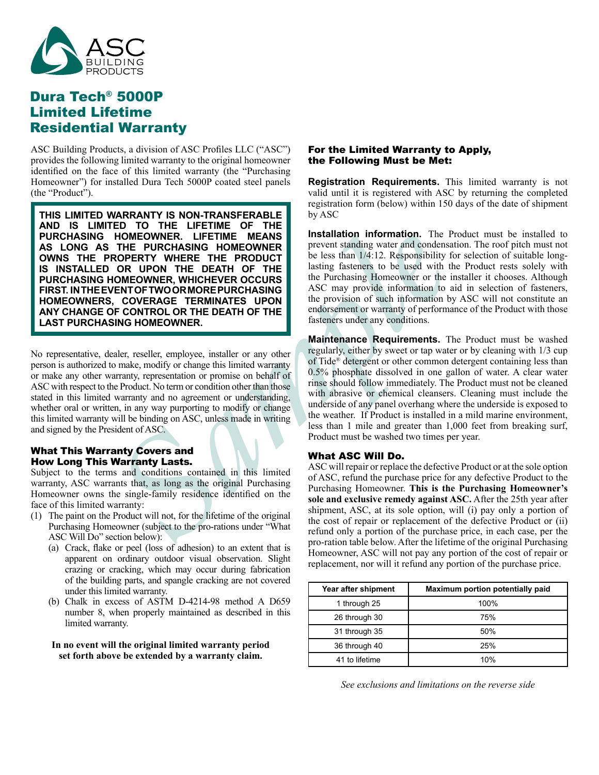

# Dura Tech® 5000P Limited Lifetime Residential Warranty

ASC Building Products, a division of ASC Profiles LLC ("ASC") provides the following limited warranty to the original homeowner identified on the face of this limited warranty (the "Purchasing Homeowner") for installed Dura Tech 5000P coated steel panels (the "Product").

**HOMEOWHER.** HERETINE MEANING INSTRUMED INTERNATION THE PURCHASING HOMEOWINER<br> **ROPERTY WHERE THE PRODUCT**<br> **SAMPLE THE PRODUCT**<br> **SAMPLE THE PRODUCT**<br> **SAMPLE DURCHASING HOMEOWINER OCCURS**<br> **SAMPLE DURCH INTERNATION TO RE THIS LIMITED WARRANTY IS NON-TRANSFERABLE AND IS LIMITED TO THE LIFETIME OF THE PURCHASING HOMEOWNER. LIFETIME MEANS AS LONG AS THE PURCHASING HOMEOWNER OWNS THE PROPERTY WHERE THE PRODUCT IS INSTALLED OR UPON THE DEATH OF THE PURCHASING HOMEOWNER, WHICHEVER OCCURS FIRST. IN THE EVENT OF TWO OR MORE PURCHASING HOMEOWNERS, COVERAGE TERMINATES UPON ANY CHANGE OF CONTROL OR THE DEATH OF THE LAST PURCHASING HOMEOWNER.**

No representative, dealer, reseller, employee, installer or any other person is authorized to make, modify or change this limited warranty or make any other warranty, representation or promise on behalf of ASC with respect to the Product. No term or condition other than those stated in this limited warranty and no agreement or understanding, whether oral or written, in any way purporting to modify or change this limited warranty will be binding on ASC, unless made in writing and signed by the President of ASC.

## What This Warranty Covers and How Long This Warranty Lasts.

Subject to the terms and conditions contained in this limited warranty, ASC warrants that, as long as the original Purchasing Homeowner owns the single-family residence identified on the face of this limited warranty:

- (1) The paint on the Product will not, for the lifetime of the original Purchasing Homeowner (subject to the pro-rations under "What ASC Will Do" section below):
	- (a) Crack, flake or peel (loss of adhesion) to an extent that is apparent on ordinary outdoor visual observation. Slight crazing or cracking, which may occur during fabrication of the building parts, and spangle cracking are not covered under this limited warranty.
	- (b) Chalk in excess of ASTM D-4214-98 method A D659 number 8, when properly maintained as described in this limited warranty.

#### **In no event will the original limited warranty period set forth above be extended by a warranty claim.**

### For the Limited Warranty to Apply, the Following Must be Met:

**Registration Requirements.** This limited warranty is not valid until it is registered with ASC by returning the completed registration form (below) within 150 days of the date of shipment by ASC

**Installation information.** The Product must be installed to prevent standing water and condensation. The roof pitch must not be less than 1/4:12. Responsibility for selection of suitable longlasting fasteners to be used with the Product rests solely with the Purchasing Homeowner or the installer it chooses. Although ASC may provide information to aid in selection of fasteners, the provision of such information by ASC will not constitute an endorsement or warranty of performance of the Product with those fasteners under any conditions.

**Maintenance Requirements.** The Product must be washed regularly, either by sweet or tap water or by cleaning with 1/3 cup of Tide® detergent or other common detergent containing less than 0.5% phosphate dissolved in one gallon of water. A clear water rinse should follow immediately. The Product must not be cleaned with abrasive or chemical cleansers. Cleaning must include the underside of any panel overhang where the underside is exposed to the weather. If Product is installed in a mild marine environment, less than 1 mile and greater than 1,000 feet from breaking surf, Product must be washed two times per year.

## What ASC Will Do.

ASC will repair or replace the defective Product or at the sole option of ASC, refund the purchase price for any defective Product to the Purchasing Homeowner. **This is the Purchasing Homeowner's sole and exclusive remedy against ASC.** After the 25th year after shipment, ASC, at its sole option, will (i) pay only a portion of the cost of repair or replacement of the defective Product or (ii) refund only a portion of the purchase price, in each case, per the pro-ration table below. After the lifetime of the original Purchasing Homeowner, ASC will not pay any portion of the cost of repair or replacement, nor will it refund any portion of the purchase price.

| Year after shipment | Maximum portion potentially paid |
|---------------------|----------------------------------|
| 1 through 25        | 100%                             |
| 26 through 30       | 75%                              |
| 31 through 35       | 50%                              |
| 36 through 40       | 25%                              |
| 41 to lifetime      | 10%                              |

*See exclusions and limitations on the reverse side*